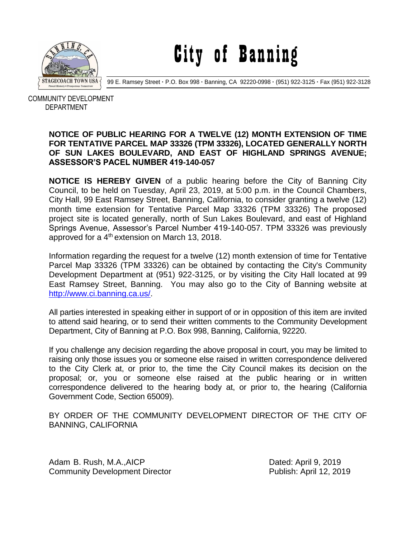

City of Banning

99 E. Ramsey Street **·** P.O. Box 998 **·** Banning, CA 92220-0998 **·** (951) 922-3125 **·** Fax (951) 922-3128

 COMMUNITY DEVELOPMENT DEPARTMENT

## **NOTICE OF PUBLIC HEARING FOR A TWELVE (12) MONTH EXTENSION OF TIME FOR TENTATIVE PARCEL MAP 33326 (TPM 33326), LOCATED GENERALLY NORTH OF SUN LAKES BOULEVARD, AND EAST OF HIGHLAND SPRINGS AVENUE; ASSESSOR'S PACEL NUMBER 419-140-057**

**NOTICE IS HEREBY GIVEN** of a public hearing before the City of Banning City Council, to be held on Tuesday, April 23, 2019, at 5:00 p.m. in the Council Chambers, City Hall, 99 East Ramsey Street, Banning, California, to consider granting a twelve (12) month time extension for Tentative Parcel Map 33326 (TPM 33326) The proposed project site is located generally, north of Sun Lakes Boulevard, and east of Highland Springs Avenue, Assessor's Parcel Number 419-140-057. TPM 33326 was previously approved for a 4<sup>th</sup> extension on March 13, 2018.

Information regarding the request for a twelve (12) month extension of time for Tentative Parcel Map 33326 (TPM 33326) can be obtained by contacting the City's Community Development Department at (951) 922-3125, or by visiting the City Hall located at 99 East Ramsey Street, Banning. You may also go to the City of Banning website at [http://www.ci.banning.ca.us/.](http://www.ci.banning.ca.us/)

All parties interested in speaking either in support of or in opposition of this item are invited to attend said hearing, or to send their written comments to the Community Development Department, City of Banning at P.O. Box 998, Banning, California, 92220.

If you challenge any decision regarding the above proposal in court, you may be limited to raising only those issues you or someone else raised in written correspondence delivered to the City Clerk at, or prior to, the time the City Council makes its decision on the proposal; or, you or someone else raised at the public hearing or in written correspondence delivered to the hearing body at, or prior to, the hearing (California Government Code, Section 65009).

BY ORDER OF THE COMMUNITY DEVELOPMENT DIRECTOR OF THE CITY OF BANNING, CALIFORNIA

Adam B. Rush, M.A., AICP **Dated: April 9, 2019** Community Development Director **Publish: April 12, 2019**